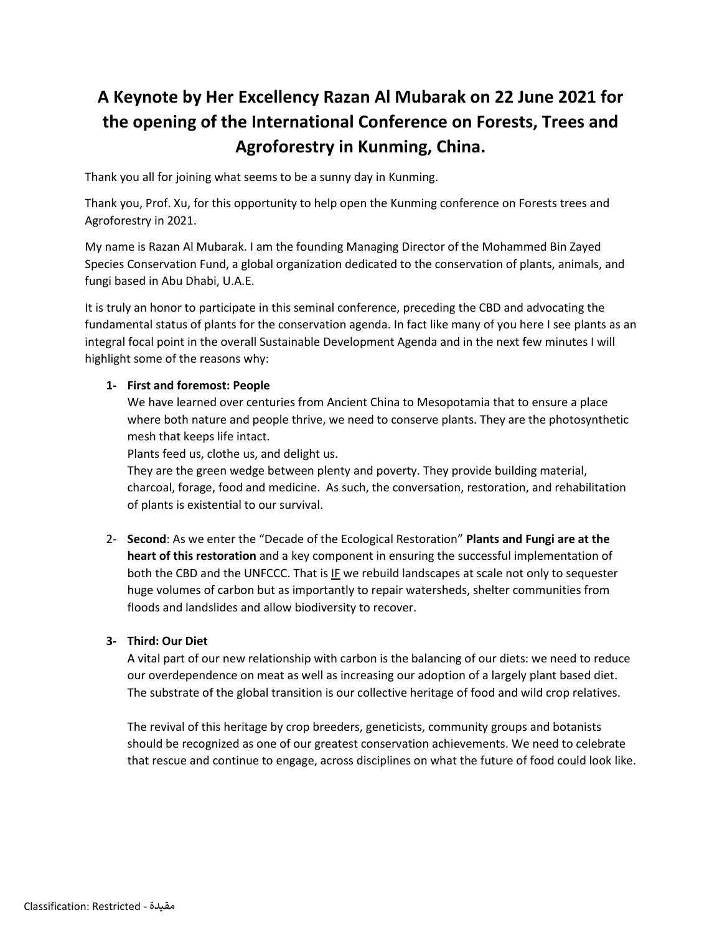# **A Keynote by Her Excellency Razan Al Mubarak on 22 June 2021 for the opening of the International Conference on Forests, Trees and Agroforestry in Kunming, China.**

Thank you all for joining what seems to be a sunny day in Kunming.

Thank you, Prof. Xu, for this opportunity to help open the Kunming conference on Forests trees and Agroforestry in 2021.

My name is Razan Al Mubarak. I am the founding Managing Director of the Mohammed Bin Zayed Species Conservation Fund, a global organization dedicated to the conservation of plants, animals, and fungi based in Abu Dhabi, U.A.E.

It is truly an honor to participate in this seminal conference, preceding the CBD and advocating the fundamental status of plants for the conservation agenda. In fact like many of you here I see plants as an integral focal point in the overall Sustainable Development Agenda and in the next few minutes I will highlight some of the reasons why:

## **1- First and foremost: People**

We have learned over centuries from Ancient China to Mesopotamia that to ensure a place where both nature and people thrive, we need to conserve plants. They are the photosynthetic mesh that keeps life intact.

Plants feed us, clothe us, and delight us.

They are the green wedge between plenty and poverty. They provide building material, charcoal, forage, food and medicine. As such, the conversation, restoration, and rehabilitation of plants is existential to our survival.

2- **Second**: As we enter the "Decade of the Ecological Restoration" **Plants and Fungi are at the heart of this restoration** and a key component in ensuring the successful implementation of both the CBD and the UNFCCC. That is IF we rebuild landscapes at scale not only to sequester huge volumes of carbon but as importantly to repair watersheds, shelter communities from floods and landslides and allow biodiversity to recover.

### **3- Third: Our Diet**

A vital part of our new relationship with carbon is the balancing of our diets: we need to reduce our overdependence on meat as well as increasing our adoption of a largely plant based diet. The substrate of the global transition is our collective heritage of food and wild crop relatives.

The revival of this heritage by crop breeders, geneticists, community groups and botanists should be recognized as one of our greatest conservation achievements. We need to celebrate that rescue and continue to engage, across disciplines on what the future of food could look like.